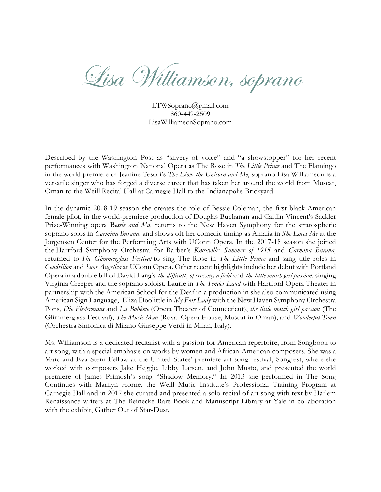Lisa Williamson, soprano

LTWSoprano@gmail.com 860-449-2509 LisaWilliamsonSoprano.com

Described by the Washington Post as "silvery of voice" and "a showstopper" for her recent performances with Washington National Opera as The Rose in *The Little Prince* and The Flamingo in the world premiere of Jeanine Tesori's *The Lion, the Unicorn and Me*, soprano Lisa Williamson is a versatile singer who has forged a diverse career that has taken her around the world from Muscat, Oman to the Weill Recital Hall at Carnegie Hall to the Indianapolis Brickyard.

In the dynamic 2018-19 season she creates the role of Bessie Coleman, the first black American female pilot, in the world-premiere production of Douglas Buchanan and Caitlin Vincent's Sackler Prize-Winning opera B*essie and Ma,* returns to the New Haven Symphony for the stratospheric soprano solos in *Carmina Burana,* and shows off her comedic timing as Amalia in *She Loves Me* at the Jorgensen Center for the Performing Arts with UConn Opera*.* In the 2017-18 season she joined the Hartford Symphony Orchestra for Barber's *Knoxville: Summer of 1915* and *Carmina Burana,*  returned to *The Glimmerglass Festival* to sing The Rose in *The Little Prince* and sang title roles in *Cendrillon* and *Suor Angelica* at UConn Opera. Other recent highlights include her debut with Portland Opera in a double bill of David Lang's *the difficulty of crossing a field* and *the little match girl passion,* singing Virginia Creeper and the soprano soloist, Laurie in *The Tender Land* with Hartford Opera Theater in partnership with the American School for the Deaf in a production in she also communicated using American Sign Language, Eliza Doolittle in *My Fair Lady* with the New Haven Symphony Orchestra Pops, *Die Fledermaus* and *La Bohème* (Opera Theater of Connecticut), *the little match girl passion* (The Glimmerglass Festival), *The Music Man* (Royal Opera House, Muscat in Oman), and *Wonderful Town*  (Orchestra Sinfonica di Milano Giuseppe Verdi in Milan, Italy).

Ms. Williamson is a dedicated recitalist with a passion for American repertoire, from Songbook to art song, with a special emphasis on works by women and African-American composers. She was a Marc and Eva Stern Fellow at the United States' premiere art song festival, Songfest, where she worked with composers Jake Heggie, Libby Larsen, and John Musto, and presented the world premiere of James Primosh's song "Shadow Memory." In 2013 she performed in The Song Continues with Marilyn Horne, the Weill Music Institute's Professional Training Program at Carnegie Hall and in 2017 she curated and presented a solo recital of art song with text by Harlem Renaissance writers at The Beinecke Rare Book and Manuscript Library at Yale in collaboration with the exhibit, Gather Out of Star-Dust.